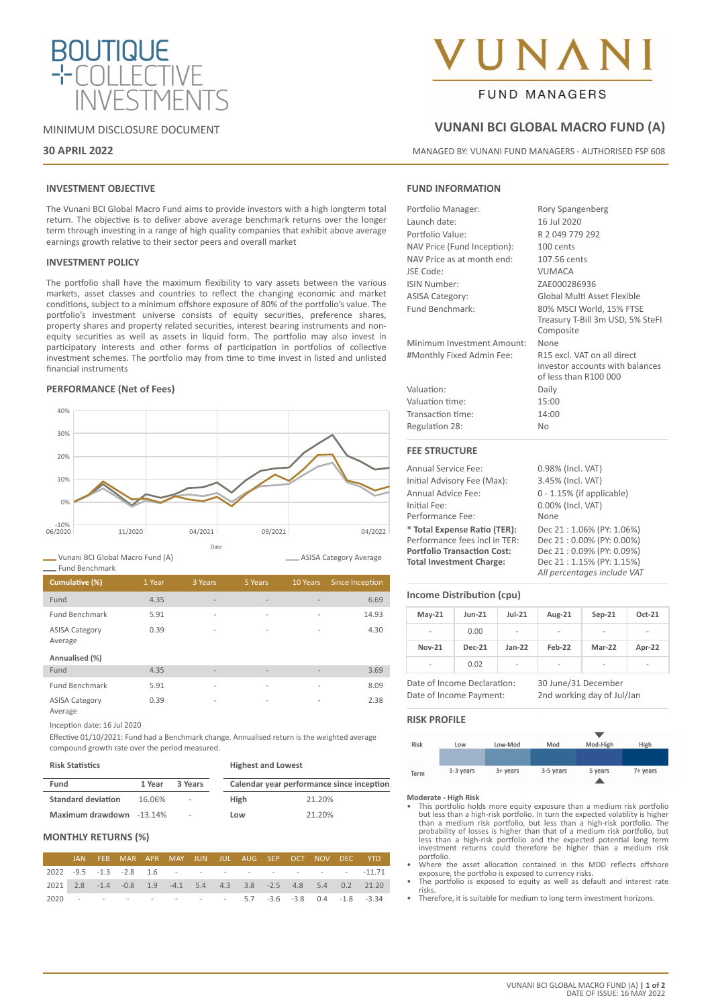

# MINIMUM DISCLOSURE DOCUMENT

# **30 APRIL 2022**

# **INVESTMENT OBJECTIVE**

The Vunani BCI Global Macro Fund aims to provide investors with a high longterm total return. The objective is to deliver above average benchmark returns over the longer term through investing in a range of high quality companies that exhibit above average earnings growth relative to their sector peers and overall market

# **INVESTMENT POLICY**

The portfolio shall have the maximum flexibility to vary assets between the various markets, asset classes and countries to reflect the changing economic and market conditions, subject to a minimum offshore exposure of 80% of the portfolio's value. The portfolio's investment universe consists of equity securities, preference shares, property shares and property related securities, interest bearing instruments and nonequity securities as well as assets in liquid form. The portfolio may also invest in participatory interests and other forms of participation in portfolios of collective investment schemes. The portfolio may from time to time invest in listed and unlisted financial instruments

# **PERFORMANCE (Net of Fees)**



**ASISA Category Average** 

Vunani BCI Global Macro Fund (A)

| <b>Fund Benchmark</b>            |        |                          |                          |                          |                        |
|----------------------------------|--------|--------------------------|--------------------------|--------------------------|------------------------|
| Cumulative (%)                   | 1 Year | 3 Years                  | 5 Years                  | 10 Years                 | <b>Since Inception</b> |
| Fund                             | 4.35   | $\overline{\phantom{a}}$ | $\overline{\phantom{a}}$ | $\overline{\phantom{a}}$ | 6.69                   |
| <b>Fund Benchmark</b>            | 5.91   | $\overline{\phantom{a}}$ | $\overline{a}$           | $\overline{\phantom{a}}$ | 14.93                  |
| <b>ASISA Category</b><br>Average | 0.39   | $\overline{\phantom{a}}$ | $\qquad \qquad$          | $\overline{\phantom{a}}$ | 4.30                   |
| Annualised (%)                   |        |                          |                          |                          |                        |
| Fund                             | 4.35   | $\overline{\phantom{a}}$ | $\overline{\phantom{a}}$ |                          | 3.69                   |
| <b>Fund Benchmark</b>            | 5.91   | $\overline{a}$           | $\overline{a}$           | ۰                        | 8.09                   |
| <b>ASISA Category</b>            | 0.39   | $\overline{\phantom{a}}$ | $\overline{\phantom{a}}$ | $\overline{\phantom{a}}$ | 2.38                   |

Average

Inception date: 16 Jul 2020

Effective 01/10/2021: Fund had a Benchmark change. Annualised return is the weighted average compound growth rate over the period measured.

| <b>Risk Statistics</b>    |        |         | <b>Highest and Lowest</b>                 |        |  |
|---------------------------|--------|---------|-------------------------------------------|--------|--|
| Fund                      | 1 Year | 3 Years | Calendar year performance since inception |        |  |
| <b>Standard deviation</b> | 16.06% | ٠       | High                                      | 21.20% |  |
| Maximum drawdown -13.14%  |        | ٠       | Low                                       | 21.20% |  |

# **MONTHLY RETURNS (%)**

|  |                                                   |  |  |  |  | JAN FEB MAR APR MAY JUN JUL AUG SEP OCT NOV DEC YTD                         |
|--|---------------------------------------------------|--|--|--|--|-----------------------------------------------------------------------------|
|  |                                                   |  |  |  |  | 2022 -9.5 -1.3 -2.8 1.6 - - - - - - - - - - - - -11.71                      |
|  |                                                   |  |  |  |  | 2021  2.8  -1.4  -0.8  1.9  -4.1  5.4  4.3  3.8  -2.5  4.8  5.4  0.2  21.20 |
|  | 2020 - - - - - - - - 5.7 -3.6 -3.8 0.4 -1.8 -3.34 |  |  |  |  |                                                                             |

# NAM

# **FUND MANAGERS**

# **VUNANI BCI GLOBAL MACRO FUND (A)**

MANAGED BY: VUNANI FUND MANAGERS - AUTHORISED FSP 608

# **FUND INFORMATION**

| Portfolio Manager:          | Rory Spangenberg                                                                        |
|-----------------------------|-----------------------------------------------------------------------------------------|
| Launch date:                | 16 Jul 2020                                                                             |
| Portfolio Value:            | R 2 049 779 292                                                                         |
| NAV Price (Fund Inception): | 100 cents                                                                               |
| NAV Price as at month end:  | 107.56 cents                                                                            |
| <b>JSE Code:</b>            | <b>VIJMACA</b>                                                                          |
| ISIN Number:                | ZAE000286936                                                                            |
| <b>ASISA Category:</b>      | Global Multi Asset Flexible                                                             |
| Fund Benchmark:             | 80% MSCI World, 15% FTSE<br>Treasury T-Bill 3m USD, 5% SteFI<br>Composite               |
| Minimum Investment Amount:  | None                                                                                    |
| #Monthly Fixed Admin Fee:   | R15 excl. VAT on all direct<br>investor accounts with balances<br>of less than R100 000 |
| Valuation:                  | Daily                                                                                   |
| Valuation time:             | 15:00                                                                                   |
| Transaction time:           | 14:00                                                                                   |
| Regulation 28:              | <b>No</b>                                                                               |
| <b>FEE STRUCTURE</b>        |                                                                                         |
| Annual Service Fee:         | 0.98% (Incl. VAT)                                                                       |
| Initial Advisory Fee (Max): | 3.45% (Incl. VAT)                                                                       |

| Initial Advisory Fee (Max):        | 3.45% (Incl. VAT)            |
|------------------------------------|------------------------------|
| Annual Advice Fee:                 | $0 - 1.15\%$ (if applicable) |
| Initial Fee:                       | 0.00% (Incl. VAT)            |
| Performance Fee:                   | None                         |
| * Total Expense Ratio (TER):       | Dec 21:1.06% (PY: 1.06%)     |
| Performance fees incl in TER:      | Dec 21:0.00% (PY: 0.00%)     |
| <b>Portfolio Transaction Cost:</b> | Dec 21:0.09% (PY: 0.09%)     |
| <b>Total Investment Charge:</b>    | Dec 21:1.15% (PY: 1.15%)     |
|                                    | All percentages include VAT  |

# **Income Distribution (cpu)**

| $May-21$                                               | $Jun-21$      | $Jul-21$ | Aug-21              | $Sep-21$                   | Oct-21 |
|--------------------------------------------------------|---------------|----------|---------------------|----------------------------|--------|
|                                                        | 0.00          | -        | -                   |                            |        |
| <b>Nov-21</b>                                          | <b>Dec-21</b> | $Jan-22$ | $Feb-22$            | <b>Mar-22</b>              | Apr-22 |
|                                                        | 0.02          |          |                     |                            |        |
| Date of Income Declaration:<br>Date of Income Payment: |               |          | 30 June/31 December | 2nd working day of Jul/Jan |        |

# **RISK PROFILE**

| Risk | Low       | Low-Mod  | Mod       | Mod-High | High     |
|------|-----------|----------|-----------|----------|----------|
|      |           |          |           |          |          |
|      |           |          |           |          |          |
| Term | 1-3 years | 3+ years | 3-5 years | 5 years  | 7+ years |
|      |           |          |           |          |          |

# **Moderate - High Risk**

- This portfolio holds more equity exposure than a medium risk portfolio but less than a high-risk portfolio. In turn the expected volatility is higher than a medium risk portfolio, but less than a high-risk portfolio. The probability of losses is higher than that of a medium risk portfolio, but less than a high-risk portfolio and the expected potential long term investment returns could therefore be higher than a medium risk portfolio.
- Where the asset allocation contained in this MDD reflects offshore exposure, the portfolio is exposed to currency risks. • The portfolio is exposed to equity as well as default and interest rate
- risks.
- Therefore, it is suitable for medium to long term investment horizons.